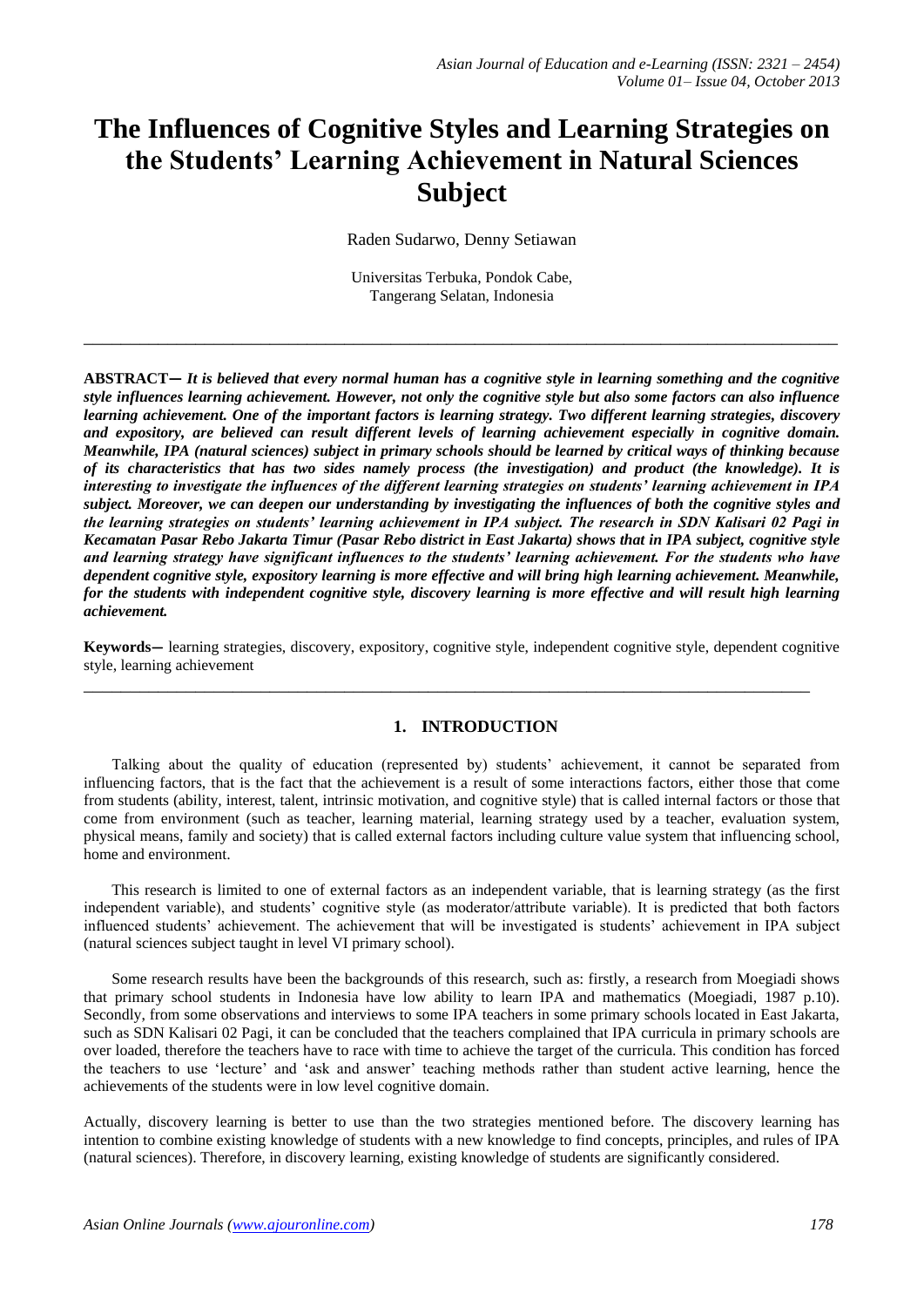# **The Influences of Cognitive Styles and Learning Strategies on the Students' Learning Achievement in Natural Sciences Subject**

Raden Sudarwo, Denny Setiawan

Universitas Terbuka, Pondok Cabe, Tangerang Selatan, Indonesia

\_\_\_\_\_\_\_\_\_\_\_\_\_\_\_\_\_\_\_\_\_\_\_\_\_\_\_\_\_\_\_\_\_\_\_\_\_\_\_\_\_\_\_\_\_\_\_\_\_\_\_\_\_\_\_\_\_\_\_\_\_\_\_\_\_\_\_\_\_\_\_\_\_\_\_\_\_\_\_\_\_

**ABSTRACT—** *It is believed that every normal human has a cognitive style in learning something and the cognitive style influences learning achievement. However, not only the cognitive style but also some factors can also influence learning achievement. One of the important factors is learning strategy. Two different learning strategies, discovery and expository, are believed can result different levels of learning achievement especially in cognitive domain. Meanwhile, IPA (natural sciences) subject in primary schools should be learned by critical ways of thinking because of its characteristics that has two sides namely process (the investigation) and product (the knowledge). It is interesting to investigate the influences of the different learning strategies on students' learning achievement in IPA subject. Moreover, we can deepen our understanding by investigating the influences of both the cognitive styles and the learning strategies on students' learning achievement in IPA subject. The research in SDN Kalisari 02 Pagi in Kecamatan Pasar Rebo Jakarta Timur (Pasar Rebo district in East Jakarta) shows that in IPA subject, cognitive style and learning strategy have significant influences to the students' learning achievement. For the students who have dependent cognitive style, expository learning is more effective and will bring high learning achievement. Meanwhile, for the students with independent cognitive style, discovery learning is more effective and will result high learning achievement.*

**Keywords—** learning strategies, discovery, expository, cognitive style, independent cognitive style, dependent cognitive style, learning achievement

\_\_\_\_\_\_\_\_\_\_\_\_\_\_\_\_\_\_\_\_\_\_\_\_\_\_\_\_\_\_\_\_\_\_\_\_\_\_\_\_\_\_\_\_\_\_\_\_\_\_\_\_\_\_\_\_\_\_\_\_\_\_\_\_\_\_\_\_\_\_\_\_\_\_\_\_\_\_

#### **1. INTRODUCTION**

Talking about the quality of education (represented by) students' achievement, it cannot be separated from influencing factors, that is the fact that the achievement is a result of some interactions factors, either those that come from students (ability, interest, talent, intrinsic motivation, and cognitive style) that is called internal factors or those that come from environment (such as teacher, learning material, learning strategy used by a teacher, evaluation system, physical means, family and society) that is called external factors including culture value system that influencing school, home and environment.

This research is limited to one of external factors as an independent variable, that is learning strategy (as the first independent variable), and students' cognitive style (as moderator/attribute variable). It is predicted that both factors influenced students' achievement. The achievement that will be investigated is students' achievement in IPA subject (natural sciences subject taught in level VI primary school).

Some research results have been the backgrounds of this research, such as: firstly, a research from Moegiadi shows that primary school students in Indonesia have low ability to learn IPA and mathematics (Moegiadi, 1987 p.10). Secondly, from some observations and interviews to some IPA teachers in some primary schools located in East Jakarta, such as SDN Kalisari 02 Pagi, it can be concluded that the teachers complained that IPA curricula in primary schools are over loaded, therefore the teachers have to race with time to achieve the target of the curricula. This condition has forced the teachers to use 'lecture' and 'ask and answer' teaching methods rather than student active learning, hence the achievements of the students were in low level cognitive domain.

Actually, discovery learning is better to use than the two strategies mentioned before. The discovery learning has intention to combine existing knowledge of students with a new knowledge to find concepts, principles, and rules of IPA (natural sciences). Therefore, in discovery learning, existing knowledge of students are significantly considered.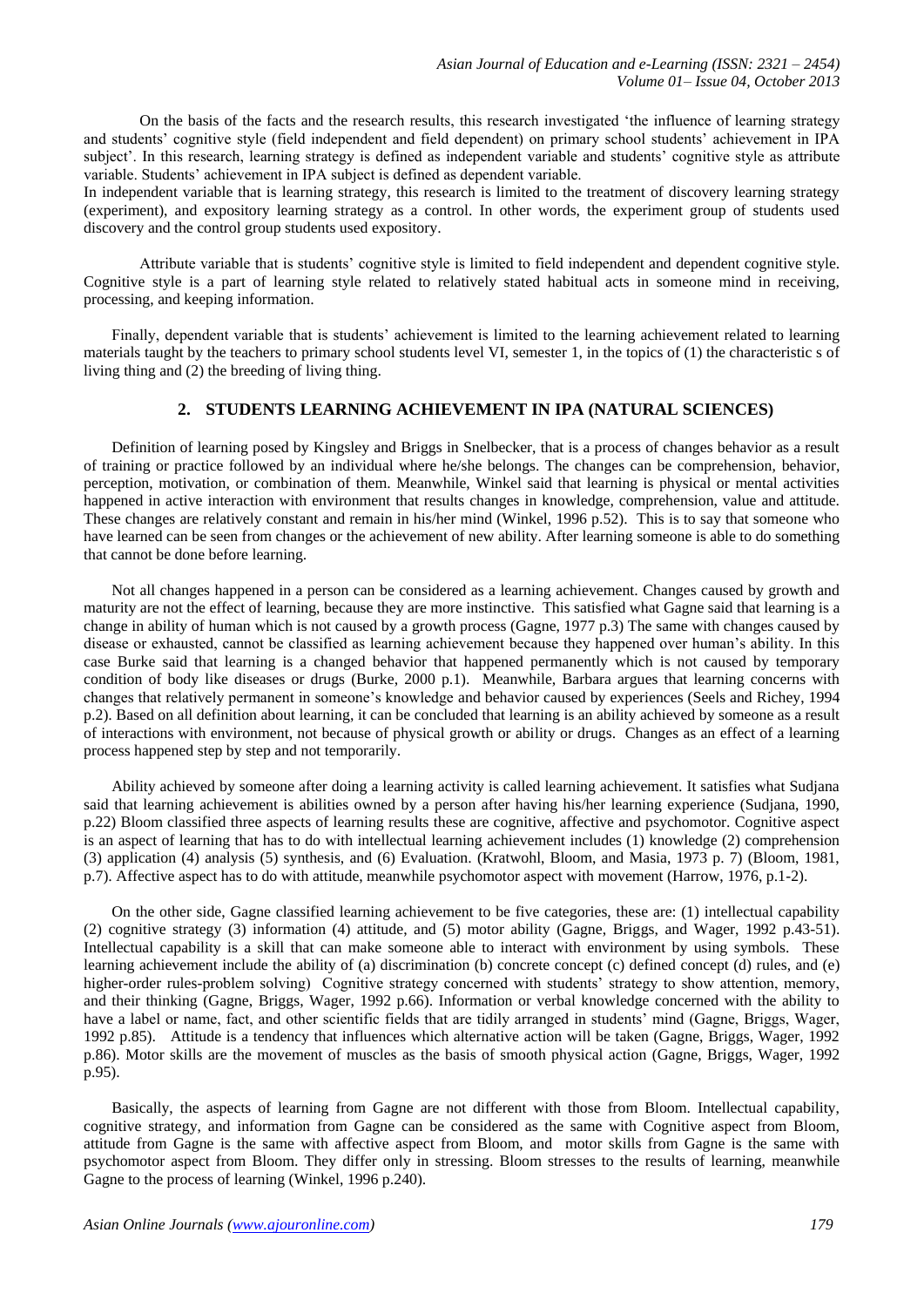On the basis of the facts and the research results, this research investigated 'the influence of learning strategy and students' cognitive style (field independent and field dependent) on primary school students' achievement in IPA subject'. In this research, learning strategy is defined as independent variable and students' cognitive style as attribute variable. Students' achievement in IPA subject is defined as dependent variable.

In independent variable that is learning strategy, this research is limited to the treatment of discovery learning strategy (experiment), and expository learning strategy as a control. In other words, the experiment group of students used discovery and the control group students used expository.

Attribute variable that is students' cognitive style is limited to field independent and dependent cognitive style. Cognitive style is a part of learning style related to relatively stated habitual acts in someone mind in receiving, processing, and keeping information.

Finally, dependent variable that is students' achievement is limited to the learning achievement related to learning materials taught by the teachers to primary school students level VI, semester 1, in the topics of (1) the characteristic s of living thing and (2) the breeding of living thing.

### **2. STUDENTS LEARNING ACHIEVEMENT IN IPA (NATURAL SCIENCES)**

Definition of learning posed by Kingsley and Briggs in Snelbecker, that is a process of changes behavior as a result of training or practice followed by an individual where he/she belongs. The changes can be comprehension, behavior, perception, motivation, or combination of them. Meanwhile, Winkel said that learning is physical or mental activities happened in active interaction with environment that results changes in knowledge, comprehension, value and attitude. These changes are relatively constant and remain in his/her mind (Winkel, 1996 p.52). This is to say that someone who have learned can be seen from changes or the achievement of new ability. After learning someone is able to do something that cannot be done before learning.

Not all changes happened in a person can be considered as a learning achievement. Changes caused by growth and maturity are not the effect of learning, because they are more instinctive. This satisfied what Gagne said that learning is a change in ability of human which is not caused by a growth process (Gagne, 1977 p.3) The same with changes caused by disease or exhausted, cannot be classified as learning achievement because they happened over human's ability. In this case Burke said that learning is a changed behavior that happened permanently which is not caused by temporary condition of body like diseases or drugs (Burke, 2000 p.1). Meanwhile, Barbara argues that learning concerns with changes that relatively permanent in someone's knowledge and behavior caused by experiences (Seels and Richey, 1994 p.2). Based on all definition about learning, it can be concluded that learning is an ability achieved by someone as a result of interactions with environment, not because of physical growth or ability or drugs. Changes as an effect of a learning process happened step by step and not temporarily.

Ability achieved by someone after doing a learning activity is called learning achievement. It satisfies what Sudjana said that learning achievement is abilities owned by a person after having his/her learning experience (Sudjana, 1990, p.22) Bloom classified three aspects of learning results these are cognitive, affective and psychomotor. Cognitive aspect is an aspect of learning that has to do with intellectual learning achievement includes (1) knowledge (2) comprehension (3) application (4) analysis (5) synthesis, and (6) Evaluation. (Kratwohl, Bloom, and Masia, 1973 p. 7) (Bloom, 1981, p.7). Affective aspect has to do with attitude, meanwhile psychomotor aspect with movement (Harrow, 1976, p.1-2).

On the other side, Gagne classified learning achievement to be five categories, these are: (1) intellectual capability (2) cognitive strategy (3) information (4) attitude, and (5) motor ability (Gagne, Briggs, and Wager, 1992 p.43-51). Intellectual capability is a skill that can make someone able to interact with environment by using symbols. These learning achievement include the ability of (a) discrimination (b) concrete concept (c) defined concept (d) rules, and (e) higher-order rules-problem solving) Cognitive strategy concerned with students' strategy to show attention, memory, and their thinking (Gagne, Briggs, Wager, 1992 p.66). Information or verbal knowledge concerned with the ability to have a label or name, fact, and other scientific fields that are tidily arranged in students' mind (Gagne, Briggs, Wager, 1992 p.85). Attitude is a tendency that influences which alternative action will be taken (Gagne, Briggs, Wager, 1992 p.86). Motor skills are the movement of muscles as the basis of smooth physical action (Gagne, Briggs, Wager, 1992 p.95).

Basically, the aspects of learning from Gagne are not different with those from Bloom. Intellectual capability, cognitive strategy, and information from Gagne can be considered as the same with Cognitive aspect from Bloom, attitude from Gagne is the same with affective aspect from Bloom, and motor skills from Gagne is the same with psychomotor aspect from Bloom. They differ only in stressing. Bloom stresses to the results of learning, meanwhile Gagne to the process of learning (Winkel, 1996 p.240).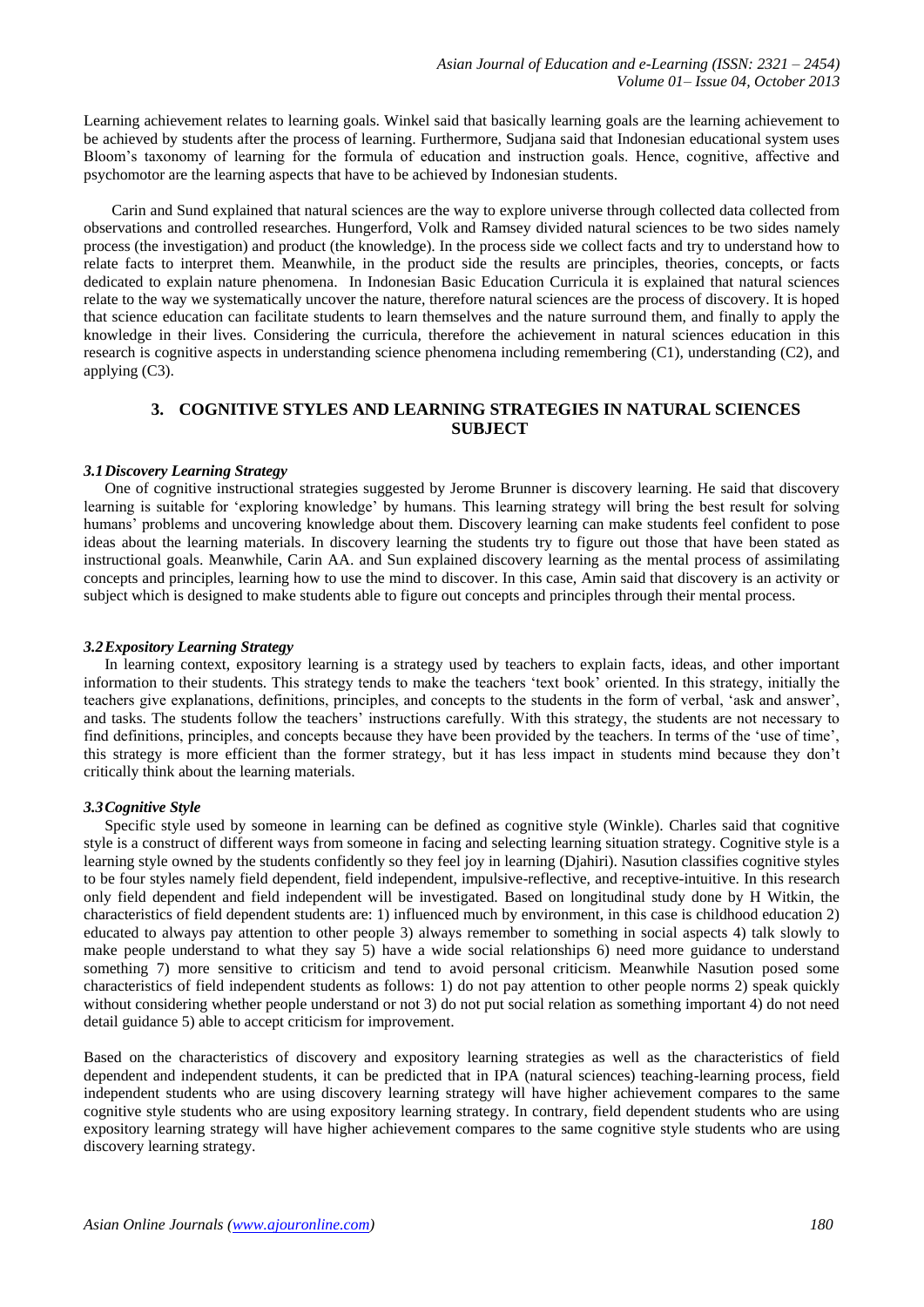Learning achievement relates to learning goals. Winkel said that basically learning goals are the learning achievement to be achieved by students after the process of learning. Furthermore, Sudjana said that Indonesian educational system uses Bloom's taxonomy of learning for the formula of education and instruction goals. Hence, cognitive, affective and psychomotor are the learning aspects that have to be achieved by Indonesian students.

Carin and Sund explained that natural sciences are the way to explore universe through collected data collected from observations and controlled researches. Hungerford, Volk and Ramsey divided natural sciences to be two sides namely process (the investigation) and product (the knowledge). In the process side we collect facts and try to understand how to relate facts to interpret them. Meanwhile, in the product side the results are principles, theories, concepts, or facts dedicated to explain nature phenomena. In Indonesian Basic Education Curricula it is explained that natural sciences relate to the way we systematically uncover the nature, therefore natural sciences are the process of discovery. It is hoped that science education can facilitate students to learn themselves and the nature surround them, and finally to apply the knowledge in their lives. Considering the curricula, therefore the achievement in natural sciences education in this research is cognitive aspects in understanding science phenomena including remembering (C1), understanding (C2), and applying (C3).

## **3. COGNITIVE STYLES AND LEARNING STRATEGIES IN NATURAL SCIENCES SUBJECT**

#### *3.1Discovery Learning Strategy*

One of cognitive instructional strategies suggested by Jerome Brunner is discovery learning. He said that discovery learning is suitable for 'exploring knowledge' by humans. This learning strategy will bring the best result for solving humans' problems and uncovering knowledge about them. Discovery learning can make students feel confident to pose ideas about the learning materials. In discovery learning the students try to figure out those that have been stated as instructional goals. Meanwhile, Carin AA. and Sun explained discovery learning as the mental process of assimilating concepts and principles, learning how to use the mind to discover. In this case, Amin said that discovery is an activity or subject which is designed to make students able to figure out concepts and principles through their mental process.

#### *3.2Expository Learning Strategy*

In learning context, expository learning is a strategy used by teachers to explain facts, ideas, and other important information to their students. This strategy tends to make the teachers 'text book' oriented. In this strategy, initially the teachers give explanations, definitions, principles, and concepts to the students in the form of verbal, 'ask and answer', and tasks. The students follow the teachers' instructions carefully. With this strategy, the students are not necessary to find definitions, principles, and concepts because they have been provided by the teachers. In terms of the 'use of time', this strategy is more efficient than the former strategy, but it has less impact in students mind because they don't critically think about the learning materials.

#### *3.3Cognitive Style*

Specific style used by someone in learning can be defined as cognitive style (Winkle). Charles said that cognitive style is a construct of different ways from someone in facing and selecting learning situation strategy. Cognitive style is a learning style owned by the students confidently so they feel joy in learning (Djahiri). Nasution classifies cognitive styles to be four styles namely field dependent, field independent, impulsive-reflective, and receptive-intuitive. In this research only field dependent and field independent will be investigated. Based on longitudinal study done by H Witkin, the characteristics of field dependent students are: 1) influenced much by environment, in this case is childhood education 2) educated to always pay attention to other people 3) always remember to something in social aspects 4) talk slowly to make people understand to what they say 5) have a wide social relationships 6) need more guidance to understand something 7) more sensitive to criticism and tend to avoid personal criticism. Meanwhile Nasution posed some characteristics of field independent students as follows: 1) do not pay attention to other people norms 2) speak quickly without considering whether people understand or not 3) do not put social relation as something important 4) do not need detail guidance 5) able to accept criticism for improvement.

Based on the characteristics of discovery and expository learning strategies as well as the characteristics of field dependent and independent students, it can be predicted that in IPA (natural sciences) teaching-learning process, field independent students who are using discovery learning strategy will have higher achievement compares to the same cognitive style students who are using expository learning strategy. In contrary, field dependent students who are using expository learning strategy will have higher achievement compares to the same cognitive style students who are using discovery learning strategy.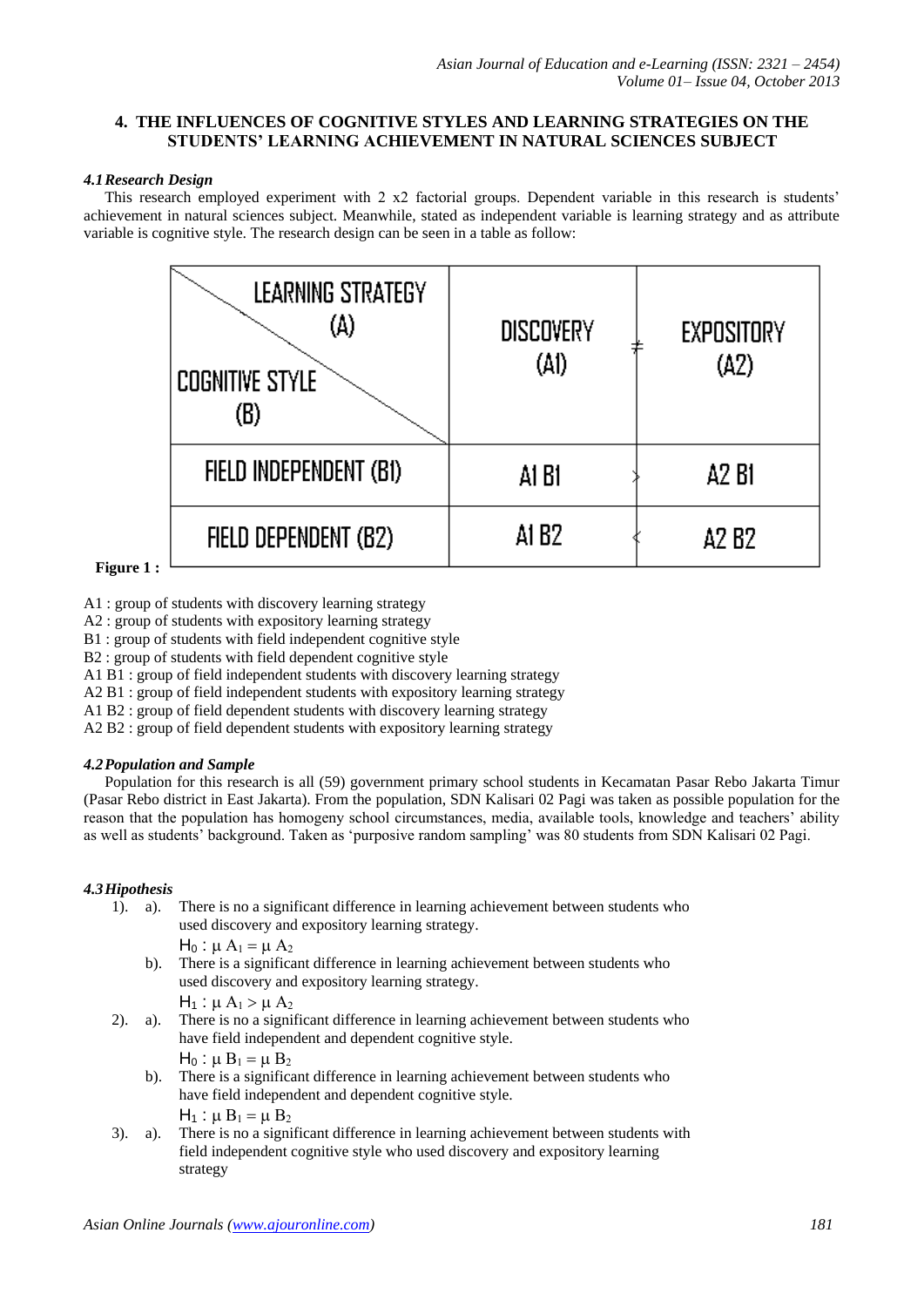# **4. THE INFLUENCES OF COGNITIVE STYLES AND LEARNING STRATEGIES ON THE STUDENTS' LEARNING ACHIEVEMENT IN NATURAL SCIENCES SUBJECT**

### *4.1Research Design*

This research employed experiment with 2 x2 factorial groups. Dependent variable in this research is students' achievement in natural sciences subject. Meanwhile, stated as independent variable is learning strategy and as attribute variable is cognitive style. The research design can be seen in a table as follow:



```
 Figure 1 :
```
A1 : group of students with discovery learning strategy

A2 : group of students with expository learning strategy

B1 : group of students with field independent cognitive style

B2 : group of students with field dependent cognitive style

A1 B1 : group of field independent students with discovery learning strategy

A2 B1 : group of field independent students with expository learning strategy

A1 B2 : group of field dependent students with discovery learning strategy

A2 B2 : group of field dependent students with expository learning strategy

# *4.2Population and Sample*

Population for this research is all (59) government primary school students in Kecamatan Pasar Rebo Jakarta Timur (Pasar Rebo district in East Jakarta). From the population, SDN Kalisari 02 Pagi was taken as possible population for the reason that the population has homogeny school circumstances, media, available tools, knowledge and teachers' ability as well as students' background. Taken as 'purposive random sampling' was 80 students from SDN Kalisari 02 Pagi.

# *4.3Hipothesis*

1). a). There is no a significant difference in learning achievement between students who used discovery and expository learning strategy.

 $H_0$ :  $\mu A_1 = \mu A_2$ 

b). There is a significant difference in learning achievement between students who used discovery and expository learning strategy.

 $H_1$ :  $\mu A_1 > \mu A_2$ 

2). a). There is no a significant difference in learning achievement between students who have field independent and dependent cognitive style.  $H_0$ :  $\mu$  B<sub>1</sub> =  $\mu$  B<sub>2</sub>

b). There is a significant difference in learning achievement between students who have field independent and dependent cognitive style.  $H_1$ :  $\mu$   $B_1$  =  $\mu$   $B_2$ 

3). a). There is no a significant difference in learning achievement between students with field independent cognitive style who used discovery and expository learning strategy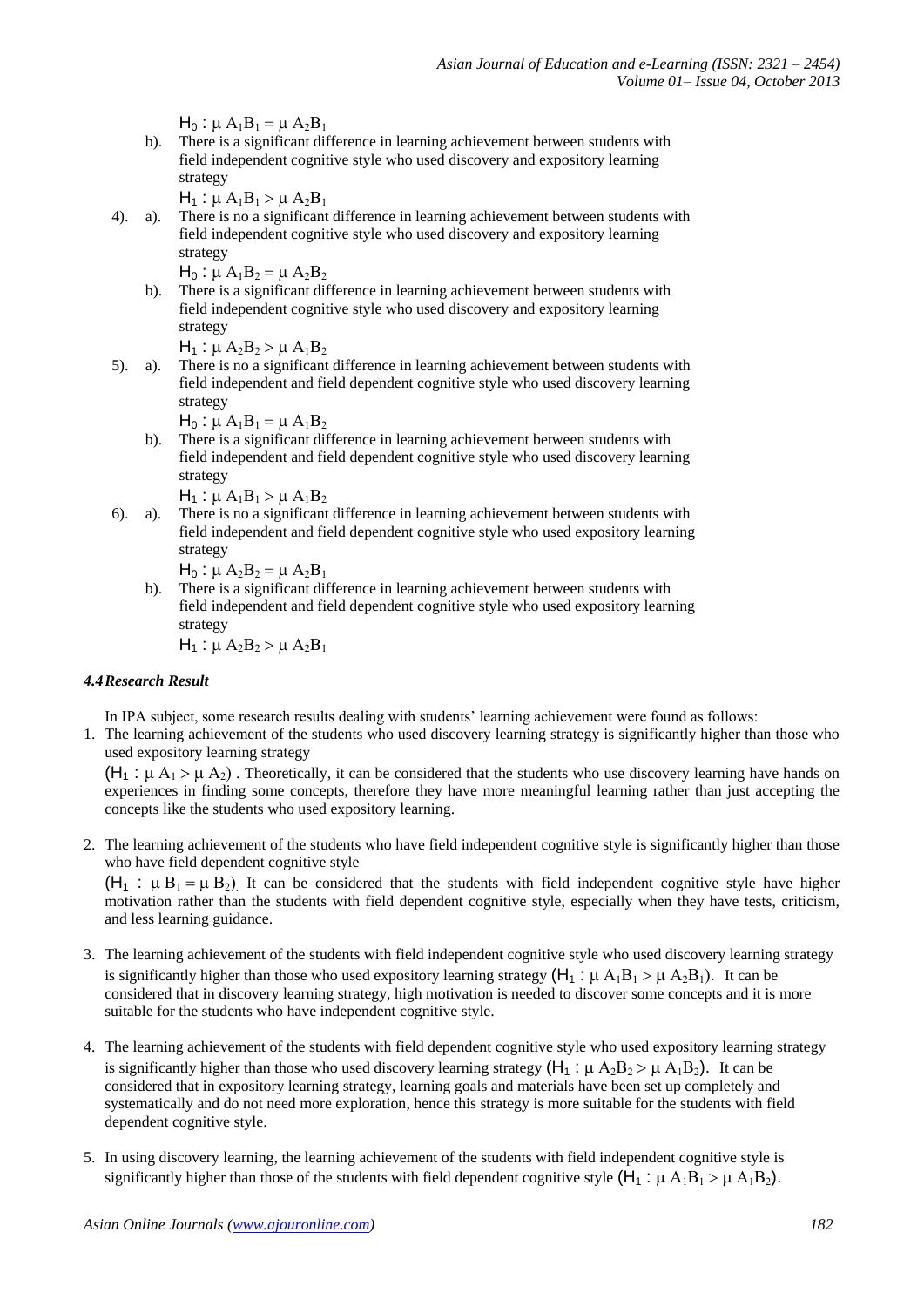$H_0$ :  $\mu A_1B_1 = \mu A_2B_1$ 

b). There is a significant difference in learning achievement between students with field independent cognitive style who used discovery and expository learning strategy

 $H_1$ :  $\mu A_1B_1 > \mu A_2B_1$ 

4). a). There is no a significant difference in learning achievement between students with field independent cognitive style who used discovery and expository learning strategy

 $H_0$ :  $\mu A_1B_2 = \mu A_2B_2$ 

b). There is a significant difference in learning achievement between students with field independent cognitive style who used discovery and expository learning strategy

 $H_1$ :  $\mu A_2B_2 > \mu A_1B_2$ 

5). a). There is no a significant difference in learning achievement between students with field independent and field dependent cognitive style who used discovery learning strategy

$$
H_0: \mu A_1B_1 = \mu A_1B_2
$$

b). There is a significant difference in learning achievement between students with field independent and field dependent cognitive style who used discovery learning strategy

 $H_1$ :  $\mu A_1B_1 > \mu A_1B_2$ 

6). a). There is no a significant difference in learning achievement between students with field independent and field dependent cognitive style who used expository learning strategy

$$
H_0: \mu A_2B_2 = \mu A_2B_1
$$

b). There is a significant difference in learning achievement between students with field independent and field dependent cognitive style who used expository learning strategy

 $H_1$ :  $\mu A_2B_2 > \mu A_2B_1$ 

# *4.4Research Result*

In IPA subject, some research results dealing with students' learning achievement were found as follows:

1. The learning achievement of the students who used discovery learning strategy is significantly higher than those who used expository learning strategy

 $(H_1 : \mu A_1 > \mu A_2)$ . Theoretically, it can be considered that the students who use discovery learning have hands on experiences in finding some concepts, therefore they have more meaningful learning rather than just accepting the concepts like the students who used expository learning.

2. The learning achievement of the students who have field independent cognitive style is significantly higher than those who have field dependent cognitive style

 $(H_1 : \mu B_1 = \mu B_2)$  It can be considered that the students with field independent cognitive style have higher motivation rather than the students with field dependent cognitive style, especially when they have tests, criticism, and less learning guidance.

- 3. The learning achievement of the students with field independent cognitive style who used discovery learning strategy is significantly higher than those who used expository learning strategy  $(H_1 : \mu A_1B_1 > \mu A_2B_1)$ . It can be considered that in discovery learning strategy, high motivation is needed to discover some concepts and it is more suitable for the students who have independent cognitive style.
- 4. The learning achievement of the students with field dependent cognitive style who used expository learning strategy is significantly higher than those who used discovery learning strategy  $(H_1 : \mu A_2 B_2 > \mu A_1 B_2)$ . It can be considered that in expository learning strategy, learning goals and materials have been set up completely and systematically and do not need more exploration, hence this strategy is more suitable for the students with field dependent cognitive style.
- 5. In using discovery learning, the learning achievement of the students with field independent cognitive style is significantly higher than those of the students with field dependent cognitive style  $(H_1 : \mu A_1B_1 > \mu A_1B_2)$ .